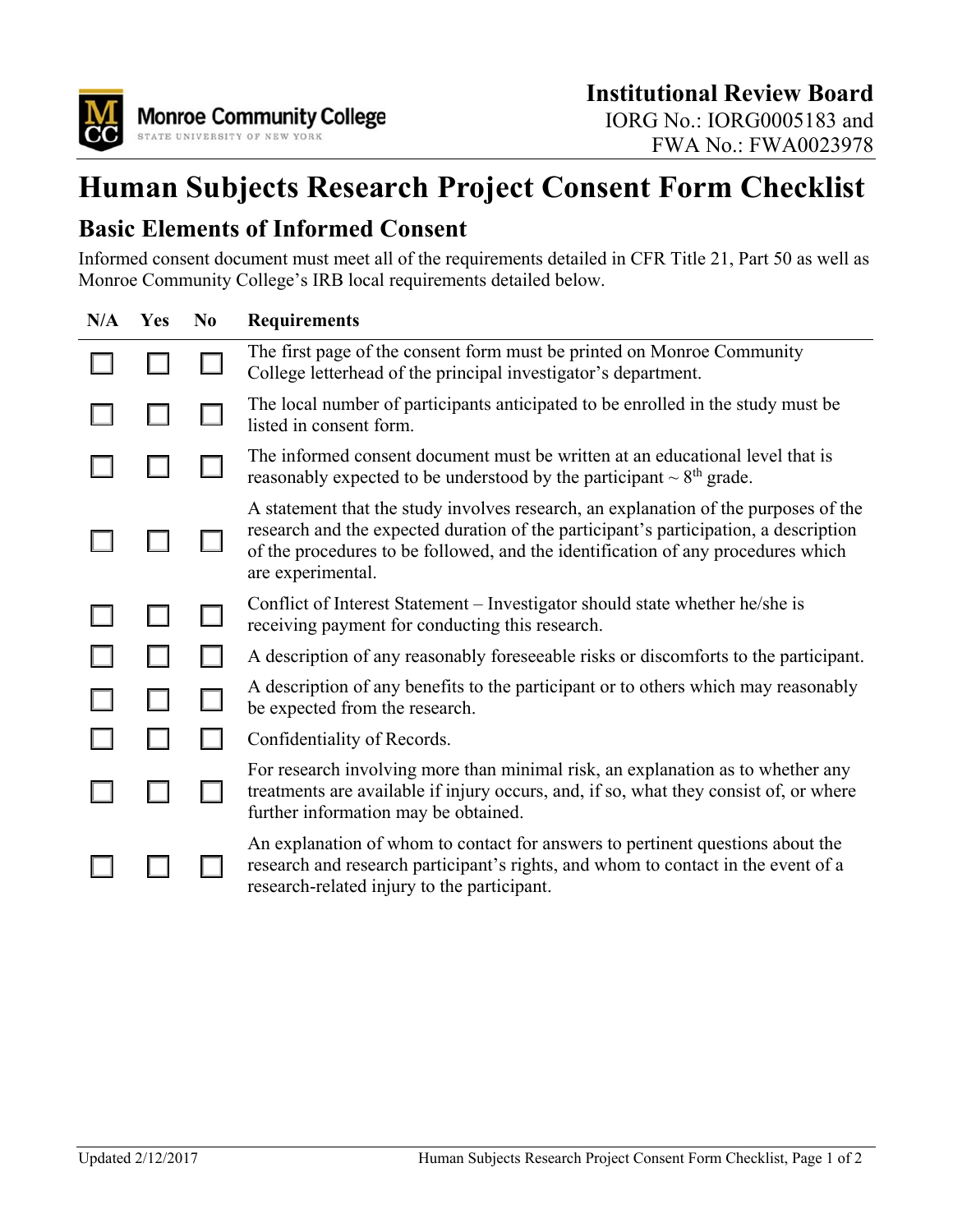

## **Human Subjects Research Project Consent Form Checklist**

## **Basic Elements of Informed Consent**

Informed consent document must meet all of the requirements detailed in CFR Title 21, Part 50 as well as Monroe Community College's IRB local requirements detailed below.

| N/A | Yes | N <sub>0</sub> | <b>Requirements</b>                                                                                                                                                                                                                                                                  |
|-----|-----|----------------|--------------------------------------------------------------------------------------------------------------------------------------------------------------------------------------------------------------------------------------------------------------------------------------|
|     |     |                | The first page of the consent form must be printed on Monroe Community<br>College letterhead of the principal investigator's department.                                                                                                                                             |
|     |     |                | The local number of participants anticipated to be enrolled in the study must be<br>listed in consent form.                                                                                                                                                                          |
|     |     |                | The informed consent document must be written at an educational level that is<br>reasonably expected to be understood by the participant $\sim 8$ <sup>th</sup> grade.                                                                                                               |
|     |     |                | A statement that the study involves research, an explanation of the purposes of the<br>research and the expected duration of the participant's participation, a description<br>of the procedures to be followed, and the identification of any procedures which<br>are experimental. |
|     |     |                | Conflict of Interest Statement - Investigator should state whether he/she is<br>receiving payment for conducting this research.                                                                                                                                                      |
|     |     |                | A description of any reasonably foreseeable risks or discomforts to the participant.                                                                                                                                                                                                 |
|     |     |                | A description of any benefits to the participant or to others which may reasonably<br>be expected from the research.                                                                                                                                                                 |
|     |     |                | Confidentiality of Records.                                                                                                                                                                                                                                                          |
|     |     |                | For research involving more than minimal risk, an explanation as to whether any<br>treatments are available if injury occurs, and, if so, what they consist of, or where<br>further information may be obtained.                                                                     |
|     |     |                | An explanation of whom to contact for answers to pertinent questions about the<br>research and research participant's rights, and whom to contact in the event of a<br>research-related injury to the participant.                                                                   |